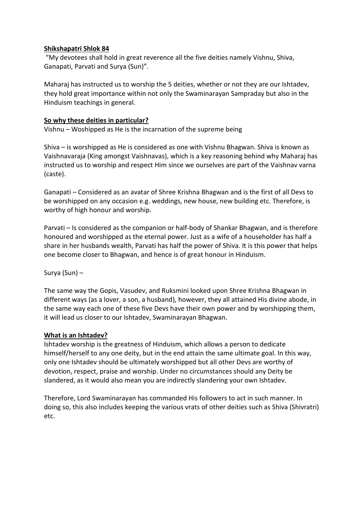## **Shikshapatri Shlok 84**

"My devotees shall hold in great reverence all the five deities namely Vishnu, Shiva, Ganapati, Parvati and Surya (Sun)".

Maharaj has instructed us to worship the 5 deities, whether or not they are our Ishtadev, they hold great importance within not only the Swaminarayan Sampraday but also in the Hinduism teachings in general.

## **So why these deities in particular?**

Vishnu – Woshipped as He is the incarnation of the supreme being

Shiva – is worshipped as He is considered as one with Vishnu Bhagwan. Shiva is known as Vaishnavaraja (King amongst Vaishnavas), which is a key reasoning behind why Maharaj has instructed us to worship and respect Him since we ourselves are part of the Vaishnav varna (caste).

Ganapati – Considered as an avatar of Shree Krishna Bhagwan and is the first of all Devs to be worshipped on any occasion e.g. weddings, new house, new building etc. Therefore, is worthy of high honour and worship.

Parvati – Is considered as the companion or half-body of Shankar Bhagwan, and is therefore honoured and worshipped as the eternal power. Just as a wife of a householder has half a share in her husbands wealth, Parvati has half the power of Shiva. It is this power that helps one become closer to Bhagwan, and hence is of great honour in Hinduism.

Surya (Sun) –

The same way the Gopis, Vasudev, and Ruksmini looked upon Shree Krishna Bhagwan in different ways (as a lover, a son, a husband), however, they all attained His divine abode, in the same way each one of these five Devs have their own power and by worshipping them, it will lead us closer to our Ishtadev, Swaminarayan Bhagwan.

## **What is an Ishtadev?**

Ishtadev worship is the greatness of Hinduism, which allows a person to dedicate himself/herself to any one deity, but in the end attain the same ultimate goal. In this way, only one Ishtadev should be ultimately worshipped but all other Devs are worthy of devotion, respect, praise and worship. Under no circumstances should any Deity be slandered, as it would also mean you are indirectly slandering your own Ishtadev.

Therefore, Lord Swaminarayan has commanded His followers to act in such manner. In doing so, this also includes keeping the various vrats of other deities such as Shiva (Shivratri) etc.